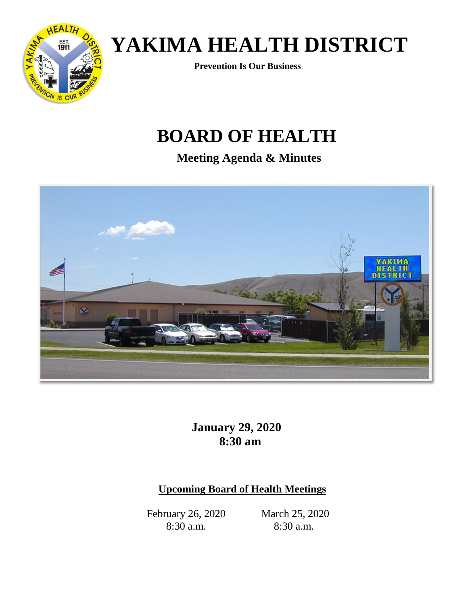

**Prevention Is Our Business**

## **BOARD OF HEALTH**

**Meeting Agenda & Minutes**



**January 29, 2020 8:30 am**

## **Upcoming Board of Health Meetings**

February 26, 2020 8:30 a.m.

March 25, 2020 8:30 a.m.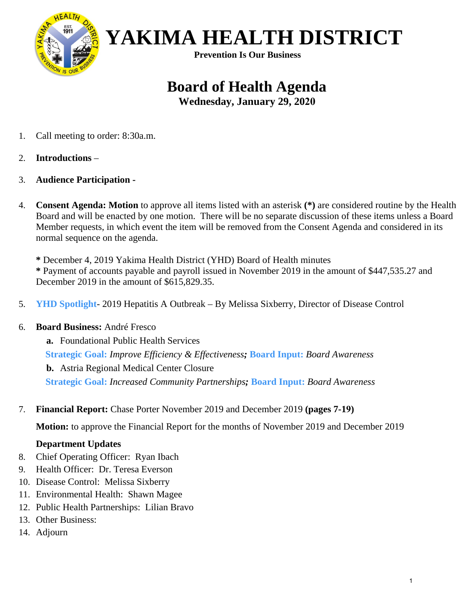

 **YAKIMA HEALTH DISTRICT Prevention Is Our Business**

## **Board of Health Agenda**

**Wednesday, January 29, 2020**

- 1. Call meeting to order: 8:30a.m.
- 2. **Introductions** –
- 3. **Audience Participation -**
- 4. **Consent Agenda: Motion** to approve all items listed with an asterisk **(\*)** are considered routine by the Health Board and will be enacted by one motion. There will be no separate discussion of these items unless a Board Member requests, in which event the item will be removed from the Consent Agenda and considered in its normal sequence on the agenda.

**\*** December 4, 2019 Yakima Health District (YHD) Board of Health minutes **\*** Payment of accounts payable and payroll issued in November 2019 in the amount of \$447,535.27 and December 2019 in the amount of \$615,829.35.

5. **YHD Spotlight**- 2019 Hepatitis A Outbreak – By Melissa Sixberry, Director of Disease Control

#### 6. **Board Business:** André Fresco

**a.** Foundational Public Health Services  **Strategic Goal:** *Improve Efficiency & Effectiveness;* **Board Input:** *Board Awareness*  **b.** Astria Regional Medical Center Closure  **Strategic Goal:** *Increased Community Partnerships;* **Board Input:** *Board Awareness*

7. **Financial Report:** Chase Porter November 2019 and December 2019 **(pages 7-19)**

**Motion:** to approve the Financial Report for the months of November 2019 and December 2019

#### **Department Updates**

- 8. Chief Operating Officer: Ryan Ibach
- 9. Health Officer: Dr. Teresa Everson
- 10. Disease Control: Melissa Sixberry
- 11. Environmental Health: Shawn Magee
- 12. Public Health Partnerships: Lilian Bravo
- 13. Other Business:
- 14. Adjourn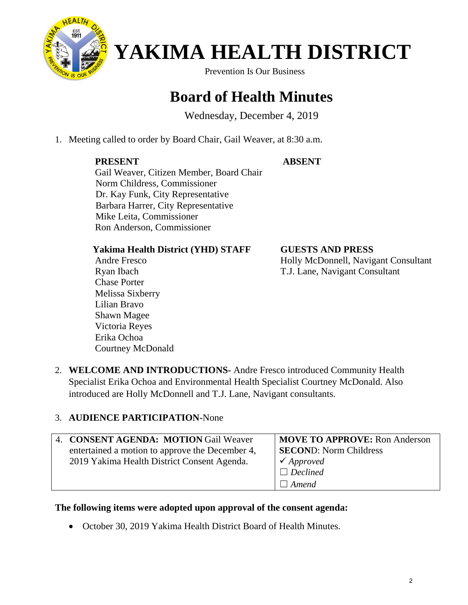

Prevention Is Our Business

## **Board of Health Minutes**

Wednesday, December 4, 2019

1. Meeting called to order by Board Chair, Gail Weaver, at 8:30 a.m.

#### **PRESENT**

#### **ABSENT**

Gail Weaver, Citizen Member, Board Chair Norm Childress, Commissioner Dr. Kay Funk, City Representative Barbara Harrer, City Representative Mike Leita, Commissioner Ron Anderson, Commissioner

#### **Yakima Health District (YHD) STAFF**

 Andre Fresco Ryan Ibach Chase Porter Melissa Sixberry Lilian Bravo Shawn Magee Victoria Reyes Erika Ochoa Courtney McDonald **GUESTS AND PRESS** Holly McDonnell, Navigant Consultant T.J. Lane, Navigant Consultant

2. **WELCOME AND INTRODUCTIONS-** Andre Fresco introduced Community Health Specialist Erika Ochoa and Environmental Health Specialist Courtney McDonald. Also introduced are Holly McDonnell and T.J. Lane, Navigant consultants.

### 3. **AUDIENCE PARTICIPATION-**None

| 4. CONSENT AGENDA: MOTION Gail Weaver           | <b>MOVE TO APPROVE: Ron Anderson</b> |
|-------------------------------------------------|--------------------------------------|
| entertained a motion to approve the December 4, | <b>SECOND:</b> Norm Childress        |
| 2019 Yakima Health District Consent Agenda.     | $\checkmark$ Approved                |
|                                                 | $\Box$ Declined                      |
|                                                 | $\Box$ Amend                         |

#### **The following items were adopted upon approval of the consent agenda:**

• October 30, 2019 Yakima Health District Board of Health Minutes.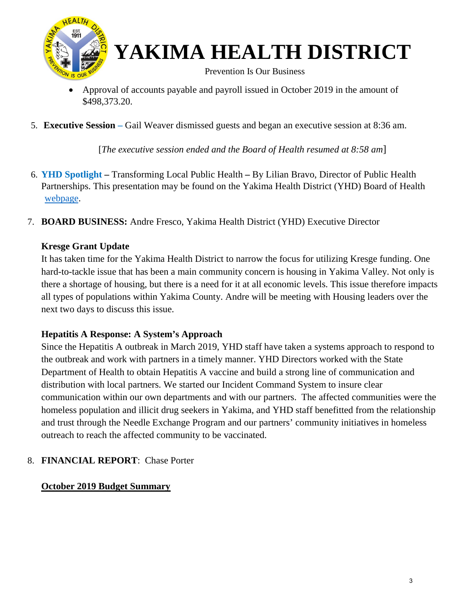

Prevention Is Our Business

- Approval of accounts payable and payroll issued in October 2019 in the amount of \$498,373.20.
- 5. **Executive Session –** Gail Weaver dismissed guests and began an executive session at 8:36 am.

[*The executive session ended and the Board of Health resumed at 8:58 am*]

- 6. **YHD Spotlight** Transforming Local Public HealthBy Lilian Bravo, Director of Public Health Partnerships. This presentation may be found on the Yakima Health District (YHD) Board of Health [webpage.](https://www.yakimacounty.us/DocumentCenter/View/23264/December-2019--Kresge)
- 7. **BOARD BUSINESS:** Andre Fresco, Yakima Health District (YHD) Executive Director

#### **Kresge Grant Update**

It has taken time for the Yakima Health District to narrow the focus for utilizing Kresge funding. One hard-to-tackle issue that has been a main community concern is housing in Yakima Valley. Not only is there a shortage of housing, but there is a need for it at all economic levels. This issue therefore impacts all types of populations within Yakima County. Andre will be meeting with Housing leaders over the next two days to discuss this issue.

#### **Hepatitis A Response: A System's Approach**

Since the Hepatitis A outbreak in March 2019, YHD staff have taken a systems approach to respond to the outbreak and work with partners in a timely manner. YHD Directors worked with the State Department of Health to obtain Hepatitis A vaccine and build a strong line of communication and distribution with local partners. We started our Incident Command System to insure clear communication within our own departments and with our partners. The affected communities were the homeless population and illicit drug seekers in Yakima, and YHD staff benefitted from the relationship and trust through the Needle Exchange Program and our partners' community initiatives in homeless outreach to reach the affected community to be vaccinated.

#### 8. **FINANCIAL REPORT**: Chase Porter

#### **October 2019 Budget Summary**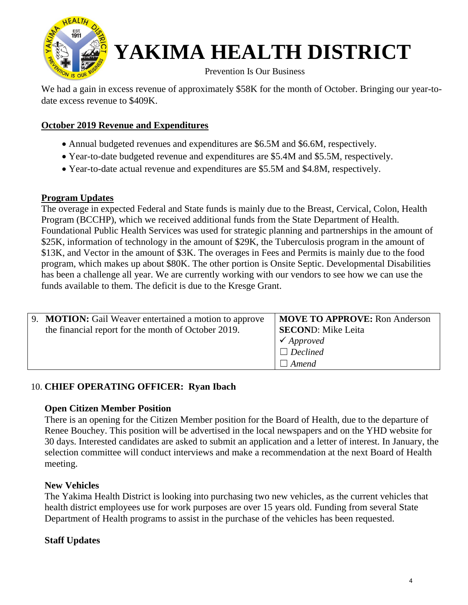

Prevention Is Our Business

We had a gain in excess revenue of approximately \$58K for the month of October. Bringing our year-todate excess revenue to \$409K.

#### **October 2019 Revenue and Expenditures**

- Annual budgeted revenues and expenditures are \$6.5M and \$6.6M, respectively.
- Year-to-date budgeted revenue and expenditures are \$5.4M and \$5.5M, respectively.
- Year-to-date actual revenue and expenditures are \$5.5M and \$4.8M, respectively.

#### **Program Updates**

The overage in expected Federal and State funds is mainly due to the Breast, Cervical, Colon, Health Program (BCCHP), which we received additional funds from the State Department of Health. Foundational Public Health Services was used for strategic planning and partnerships in the amount of \$25K, information of technology in the amount of \$29K, the Tuberculosis program in the amount of \$13K, and Vector in the amount of \$3K. The overages in Fees and Permits is mainly due to the food program, which makes up about \$80K. The other portion is Onsite Septic. Developmental Disabilities has been a challenge all year. We are currently working with our vendors to see how we can use the funds available to them. The deficit is due to the Kresge Grant.

| 9. <b>MOTION:</b> Gail Weaver entertained a motion to approve<br>the financial report for the month of October 2019. | <b>MOVE TO APPROVE:</b> Ron Anderson<br><b>SECOND:</b> Mike Leita<br>$\checkmark$ Approved<br>$\Box$ Declined |
|----------------------------------------------------------------------------------------------------------------------|---------------------------------------------------------------------------------------------------------------|
|                                                                                                                      | $\Box$ Amend                                                                                                  |

#### 10. **CHIEF OPERATING OFFICER: Ryan Ibach**

#### **Open Citizen Member Position**

There is an opening for the Citizen Member position for the Board of Health, due to the departure of Renee Bouchey. This position will be advertised in the local newspapers and on the YHD website for 30 days. Interested candidates are asked to submit an application and a letter of interest. In January, the selection committee will conduct interviews and make a recommendation at the next Board of Health meeting.

#### **New Vehicles**

The Yakima Health District is looking into purchasing two new vehicles, as the current vehicles that health district employees use for work purposes are over 15 years old. Funding from several State Department of Health programs to assist in the purchase of the vehicles has been requested.

#### **Staff Updates**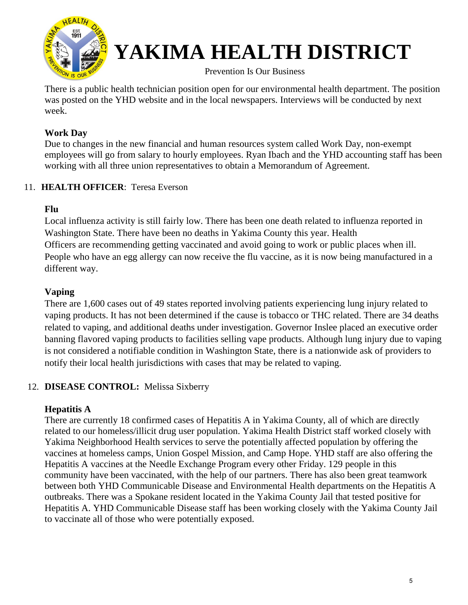

Prevention Is Our Business

There is a public health technician position open for our environmental health department. The position was posted on the YHD website and in the local newspapers. Interviews will be conducted by next week.

#### **Work Day**

Due to changes in the new financial and human resources system called Work Day, non-exempt employees will go from salary to hourly employees. Ryan Ibach and the YHD accounting staff has been working with all three union representatives to obtain a Memorandum of Agreement.

#### 11. **HEALTH OFFICER**: Teresa Everson

#### **Flu**

Local influenza activity is still fairly low. There has been one death related to influenza reported in Washington State. There have been no deaths in Yakima County this year. Health Officers are recommending getting vaccinated and avoid going to work or public places when ill. People who have an egg allergy can now receive the flu vaccine, as it is now being manufactured in a different way.

#### **Vaping**

There are 1,600 cases out of 49 states reported involving patients experiencing lung injury related to vaping products. It has not been determined if the cause is tobacco or THC related. There are 34 deaths related to vaping, and additional deaths under investigation. Governor Inslee placed an executive order banning flavored vaping products to facilities selling vape products. Although lung injury due to vaping is not considered a notifiable condition in Washington State, there is a nationwide ask of providers to notify their local health jurisdictions with cases that may be related to vaping.

### 12. **DISEASE CONTROL:** Melissa Sixberry

#### **Hepatitis A**

There are currently 18 confirmed cases of Hepatitis A in Yakima County, all of which are directly related to our homeless/illicit drug user population. Yakima Health District staff worked closely with Yakima Neighborhood Health services to serve the potentially affected population by offering the vaccines at homeless camps, Union Gospel Mission, and Camp Hope. YHD staff are also offering the Hepatitis A vaccines at the Needle Exchange Program every other Friday. 129 people in this community have been vaccinated, with the help of our partners. There has also been great teamwork between both YHD Communicable Disease and Environmental Health departments on the Hepatitis A outbreaks. There was a Spokane resident located in the Yakima County Jail that tested positive for Hepatitis A. YHD Communicable Disease staff has been working closely with the Yakima County Jail to vaccinate all of those who were potentially exposed.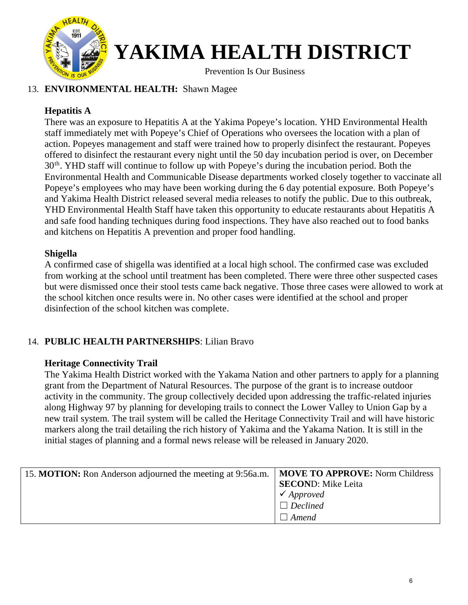

Prevention Is Our Business

#### 13. **ENVIRONMENTAL HEALTH:** Shawn Magee

#### **Hepatitis A**

There was an exposure to Hepatitis A at the Yakima Popeye's location. YHD Environmental Health staff immediately met with Popeye's Chief of Operations who oversees the location with a plan of action. Popeyes management and staff were trained how to properly disinfect the restaurant. Popeyes offered to disinfect the restaurant every night until the 50 day incubation period is over, on December 30<sup>th</sup>. YHD staff will continue to follow up with Popeye's during the incubation period. Both the Environmental Health and Communicable Disease departments worked closely together to vaccinate all Popeye's employees who may have been working during the 6 day potential exposure. Both Popeye's and Yakima Health District released several media releases to notify the public. Due to this outbreak, YHD Environmental Health Staff have taken this opportunity to educate restaurants about Hepatitis A and safe food handing techniques during food inspections. They have also reached out to food banks and kitchens on Hepatitis A prevention and proper food handling.

#### **Shigella**

A confirmed case of shigella was identified at a local high school. The confirmed case was excluded from working at the school until treatment has been completed. There were three other suspected cases but were dismissed once their stool tests came back negative. Those three cases were allowed to work at the school kitchen once results were in. No other cases were identified at the school and proper disinfection of the school kitchen was complete.

#### 14. **PUBLIC HEALTH PARTNERSHIPS**: Lilian Bravo

#### **Heritage Connectivity Trail**

The Yakima Health District worked with the Yakama Nation and other partners to apply for a planning grant from the Department of Natural Resources. The purpose of the grant is to increase outdoor activity in the community. The group collectively decided upon addressing the traffic-related injuries along Highway 97 by planning for developing trails to connect the Lower Valley to Union Gap by a new trail system. The trail system will be called the Heritage Connectivity Trail and will have historic markers along the trail detailing the rich history of Yakima and the Yakama Nation. It is still in the initial stages of planning and a formal news release will be released in January 2020.

| 15. MOTION: Ron Anderson adjourned the meeting at 9:56a.m.   MOVE TO APPROVE: Norm Childress |                           |
|----------------------------------------------------------------------------------------------|---------------------------|
|                                                                                              | <b>SECOND:</b> Mike Leita |
|                                                                                              | $\checkmark$ Approved     |
|                                                                                              | $\Box$ Declined           |
|                                                                                              | Amend                     |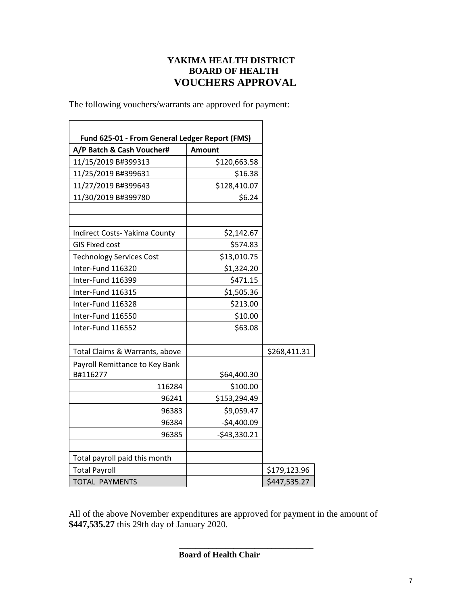#### **YAKIMA HEALTH DISTRICT BOARD OF HEALTH VOUCHERS APPROVAL**

The following vouchers/warrants are approved for payment:

| Fund 625-01 - From General Ledger Report (FMS)<br>A/P Batch & Cash Voucher# | <b>Amount</b> |              |
|-----------------------------------------------------------------------------|---------------|--------------|
| 11/15/2019 B#399313                                                         | \$120,663.58  |              |
| 11/25/2019 B#399631                                                         | \$16.38       |              |
| 11/27/2019 B#399643                                                         | \$128,410.07  |              |
| 11/30/2019 B#399780                                                         | \$6.24        |              |
|                                                                             |               |              |
| Indirect Costs- Yakima County                                               | \$2,142.67    |              |
| <b>GIS Fixed cost</b>                                                       | \$574.83      |              |
| <b>Technology Services Cost</b>                                             | \$13,010.75   |              |
| Inter-Fund 116320                                                           | \$1,324.20    |              |
| Inter-Fund 116399                                                           | \$471.15      |              |
| Inter-Fund 116315                                                           | \$1,505.36    |              |
| Inter-Fund 116328                                                           | \$213.00      |              |
| Inter-Fund 116550                                                           | \$10.00       |              |
| Inter-Fund 116552                                                           | \$63.08       |              |
| Total Claims & Warrants, above                                              |               | \$268,411.31 |
| Payroll Remittance to Key Bank                                              |               |              |
| B#116277                                                                    | \$64,400.30   |              |
| 116284                                                                      | \$100.00      |              |
| 96241                                                                       | \$153,294.49  |              |
| 96383                                                                       | \$9,059.47    |              |
| 96384                                                                       | $-$4,400.09$  |              |
| 96385                                                                       | $-$43,330.21$ |              |
| Total payroll paid this month                                               |               |              |
| <b>Total Payroll</b>                                                        |               | \$179,123.96 |
| <b>TOTAL PAYMENTS</b>                                                       |               | \$447,535.27 |

All of the above November expenditures are approved for payment in the amount of **\$447,535.27** this 29th day of January 2020.

**\_\_\_\_\_\_\_\_\_\_\_\_\_\_\_\_\_\_\_\_\_\_\_\_\_\_\_\_\_\_\_\_**

**Board of Health Chair**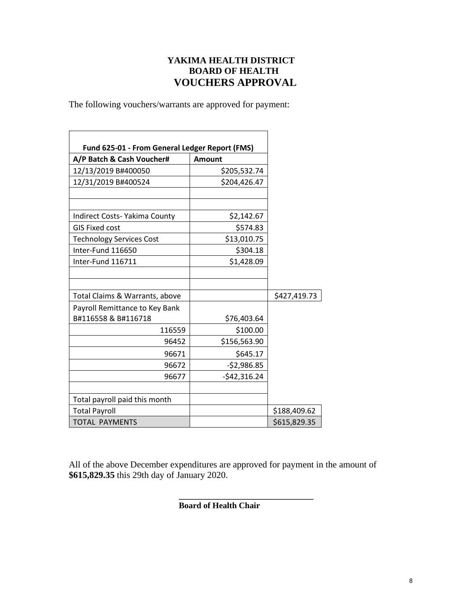#### **YAKIMA HEALTH DISTRICT BOARD OF HEALTH VOUCHERS APPROVAL**

The following vouchers/warrants are approved for payment:

| Fund 625-01 - From General Ledger Report (FMS) |               |              |
|------------------------------------------------|---------------|--------------|
| A/P Batch & Cash Voucher#                      | <b>Amount</b> |              |
| 12/13/2019 B#400050                            | \$205,532.74  |              |
| 12/31/2019 B#400524                            | \$204,426.47  |              |
|                                                |               |              |
| Indirect Costs- Yakima County                  | \$2,142.67    |              |
| <b>GIS Fixed cost</b>                          | \$574.83      |              |
| <b>Technology Services Cost</b>                | \$13,010.75   |              |
| Inter-Fund 116650                              | \$304.18      |              |
| Inter-Fund 116711                              | \$1,428.09    |              |
|                                                |               |              |
|                                                |               |              |
| Total Claims & Warrants, above                 |               | \$427,419.73 |
| Payroll Remittance to Key Bank                 |               |              |
| B#116558 & B#116718                            | \$76,403.64   |              |
| 116559                                         | \$100.00      |              |
| 96452                                          | \$156,563.90  |              |
| 96671                                          | \$645.17      |              |
| 96672                                          | $-52,986.85$  |              |
| 96677                                          | $-542,316.24$ |              |
|                                                |               |              |
| Total payroll paid this month                  |               |              |
| <b>Total Payroll</b>                           |               | \$188,409.62 |
| <b>TOTAL PAYMENTS</b>                          |               | \$615,829.35 |

All of the above December expenditures are approved for payment in the amount of **\$615,829.35** this 29th day of January 2020.

> **\_\_\_\_\_\_\_\_\_\_\_\_\_\_\_\_\_\_\_\_\_\_\_\_\_\_\_\_\_\_\_\_ Board of Health Chair**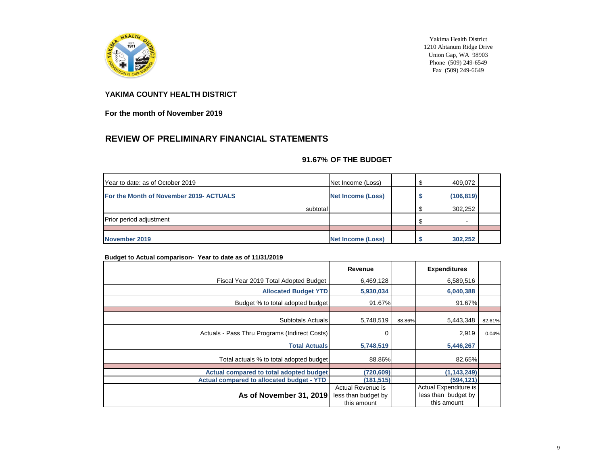

Yakima Health District 1210 Ahtanum Ridge Drive Union Gap, WA 98903 Phone  $(509)$  249-6549 Fax (509) 249-6649

#### **YAKIMA COUNTY HEALTH DISTRICT**

**For the month of November 2019**

### **REVIEW OF PRELIMINARY FINANCIAL STATEMENTS**

#### **91.67% OF THE BUDGET**

| Year to date: as of October 2019        | Net Income (Loss)        | 409,072    |  |
|-----------------------------------------|--------------------------|------------|--|
| For the Month of November 2019- ACTUALS | <b>Net Income (Loss)</b> | (106, 819) |  |
| subtotal                                |                          | 302,252    |  |
| Prior period adjustment                 |                          | $\sim$     |  |
|                                         |                          |            |  |
| November 2019                           | <b>Net Income (Loss)</b> | 302,252    |  |

#### **Budget to Actual comparison- Year to date as of 11/31/2019**

|                                                  | Revenue             |        | <b>Expenditures</b>   |        |
|--------------------------------------------------|---------------------|--------|-----------------------|--------|
| Fiscal Year 2019 Total Adopted Budget            | 6,469,128           |        | 6,589,516             |        |
| <b>Allocated Budget YTD</b>                      | 5,930,034           |        | 6,040,388             |        |
| Budget % to total adopted budget                 | 91.67%              |        | 91.67%                |        |
|                                                  |                     |        |                       |        |
| <b>Subtotals Actuals</b>                         | 5,748,519           | 88.86% | 5,443,348             | 82.61% |
| Actuals - Pass Thru Programs (Indirect Costs)    | 0                   |        | 2,919                 | 0.04%  |
| <b>Total Actuals</b>                             | 5,748,519           |        | 5,446,267             |        |
| Total actuals % to total adopted budget          | 88.86%              |        | 82.65%                |        |
| Actual compared to total adopted budget          | (720, 609)          |        | (1, 143, 249)         |        |
|                                                  |                     |        |                       |        |
| <b>Actual compared to allocated budget - YTD</b> | (181, 515)          |        | (594, 121)            |        |
|                                                  | Actual Revenue is   |        | Actual Expenditure is |        |
| As of November 31, 2019                          | less than budget by |        | less than budget by   |        |
|                                                  | this amount         |        | this amount           |        |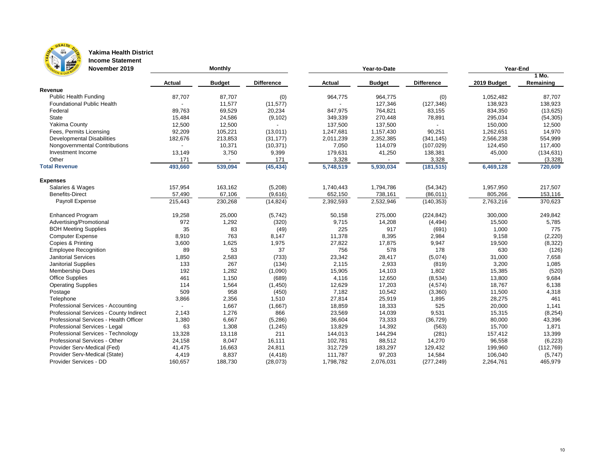

#### **Yakima Health District Income Statement**

| <b>Figure</b><br>November 2019          |               | <b>Monthly</b> |                   |               | Year-to-Date  | Year-End          |             |            |
|-----------------------------------------|---------------|----------------|-------------------|---------------|---------------|-------------------|-------------|------------|
|                                         |               |                |                   |               |               |                   |             | 1 Mo.      |
|                                         | <b>Actual</b> | <b>Budget</b>  | <b>Difference</b> | <b>Actual</b> | <b>Budget</b> | <b>Difference</b> | 2019 Budget | Remaining  |
| <b>Revenue</b>                          |               |                |                   |               |               |                   |             |            |
| <b>Public Health Funding</b>            | 87,707        | 87,707         | (0)               | 964,775       | 964,775       | (0)               | 1,052,482   | 87,707     |
| <b>Foundational Public Health</b>       |               | 11,577         | (11, 577)         |               | 127,346       | (127, 346)        | 138,923     | 138,923    |
| Federal                                 | 89,763        | 69,529         | 20,234            | 847,975       | 764,821       | 83,155            | 834,350     | (13, 625)  |
| <b>State</b>                            | 15,484        | 24,586         | (9, 102)          | 349,339       | 270,448       | 78,891            | 295,034     | (54, 305)  |
| <b>Yakima County</b>                    | 12,500        | 12,500         |                   | 137,500       | 137,500       |                   | 150,000     | 12,500     |
| Fees, Permits Licensing                 | 92,209        | 105,221        | (13, 011)         | 1,247,681     | 1,157,430     | 90,251            | 1,262,651   | 14,970     |
| <b>Developmental Disabilities</b>       | 182,676       | 213,853        | (31, 177)         | 2,011,239     | 2,352,385     | (341, 145)        | 2,566,238   | 554,999    |
| Nongovernmental Contributions           |               | 10,371         | (10, 371)         | 7,050         | 114,079       | (107, 029)        | 124,450     | 117,400    |
| Investment Income                       | 13,149        | 3,750          | 9,399             | 179,631       | 41,250        | 138,381           | 45,000      | (134, 631) |
| Other                                   | 171           |                | 171               | 3,328         |               | 3,328             |             | (3,328)    |
| <b>Total Revenue</b>                    | 493,660       | 539,094        | (45, 434)         | 5,748,519     | 5,930,034     | (181, 515)        | 6,469,128   | 720,609    |
| <b>Expenses</b>                         |               |                |                   |               |               |                   |             |            |
| Salaries & Wages                        | 157,954       | 163,162        | (5,208)           | 1,740,443     | 1,794,786     | (54, 342)         | 1,957,950   | 217,507    |
| <b>Benefits-Direct</b>                  | 57,490        | 67,106         | (9,616)           | 652,150       | 738,161       | (86, 011)         | 805,266     | 153,116    |
| Payroll Expense                         | 215,443       | 230,268        | (14, 824)         | 2,392,593     | 2,532,946     | (140, 353)        | 2,763,216   | 370,623    |
| <b>Enhanced Program</b>                 | 19,258        | 25,000         | (5, 742)          | 50,158        | 275,000       | (224, 842)        | 300,000     | 249,842    |
| Advertising/Promotional                 | 972           | 1,292          | (320)             | 9,715         | 14,208        | (4, 494)          | 15,500      | 5,785      |
| <b>BOH Meeting Supplies</b>             | 35            | 83             | (49)              | 225           | 917           | (691)             | 1,000       | 775        |
| <b>Computer Expense</b>                 | 8,910         | 763            | 8,147             | 11,378        | 8,395         | 2,984             | 9,158       | (2, 220)   |
| Copies & Printing                       | 3,600         | 1,625          | 1,975             | 27,822        | 17,875        | 9,947             | 19,500      | (8, 322)   |
| <b>Employee Recognition</b>             | 89            | 53             | 37                | 756           | 578           | 178               | 630         | (126)      |
| <b>Janitorial Services</b>              | 1,850         | 2,583          | (733)             | 23,342        | 28,417        | (5,074)           | 31,000      | 7,658      |
| Janitorial Supplies                     | 133           | 267            | (134)             | 2,115         | 2,933         | (819)             | 3,200       | 1,085      |
| Membership Dues                         | 192           | 1,282          | (1,090)           | 15,905        | 14,103        | 1,802             | 15,385      | (520)      |
| <b>Office Supplies</b>                  | 461           | 1,150          | (689)             | 4,116         | 12,650        | (8,534)           | 13,800      | 9,684      |
| <b>Operating Supplies</b>               | 114           | 1,564          | (1,450)           | 12,629        | 17,203        | (4, 574)          | 18,767      | 6,138      |
| Postage                                 | 509           | 958            | (450)             | 7,182         | 10,542        | (3,360)           | 11,500      | 4,318      |
| Telephone                               | 3,866         | 2,356          | 1,510             | 27,814        | 25,919        | 1,895             | 28,275      | 461        |
| Professional Services - Accounting      |               | 1,667          | (1,667)           | 18,859        | 18,333        | 525               | 20,000      | 1,141      |
| Professional Services - County Indirect | 2,143         | 1,276          | 866               | 23,569        | 14,039        | 9,531             | 15,315      | (8, 254)   |
| Professional Services - Health Officer  | 1,380         | 6,667          | (5,286)           | 36,604        | 73,333        | (36, 729)         | 80,000      | 43,396     |
| Professional Services - Legal           | 63            | 1,308          | (1, 245)          | 13,829        | 14,392        | (563)             | 15,700      | 1,871      |
| Professional Services - Technology      | 13,328        | 13,118         | 211               | 144,013       | 144,294       | (281)             | 157,412     | 13,399     |
| Professional Services - Other           | 24,158        | 8,047          | 16,111            | 102,781       | 88,512        | 14,270            | 96,558      | (6, 223)   |
| Provider Serv-Medical (Fed)             | 41,475        | 16,663         | 24,811            | 312,729       | 183,297       | 129,432           | 199,960     | (112, 769) |
| Provider Serv-Medical (State)           | 4,419         | 8,837          | (4, 418)          | 111,787       | 97,203        | 14,584            | 106,040     | (5,747)    |
| Provider Services - DD                  | 160,657       | 188,730        | (28, 073)         | 1,798,782     | 2,076,031     | (277, 249)        | 2,264,761   | 465,979    |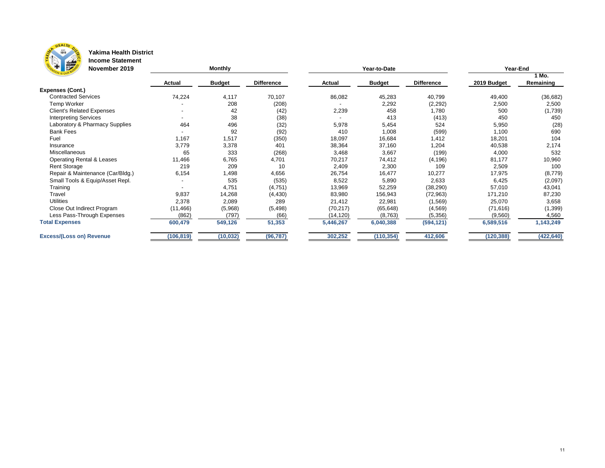

#### **Yakima Health District Income Statement**

| $\frac{1}{2}$<br>$\mathbf{F}$<br>November 2019 |               | <b>Monthly</b> |                   |               | Year-to-Date  | Year-End          |             |            |
|------------------------------------------------|---------------|----------------|-------------------|---------------|---------------|-------------------|-------------|------------|
|                                                |               |                |                   |               |               |                   |             | 1 Mo.      |
|                                                | <b>Actual</b> | <b>Budget</b>  | <b>Difference</b> | <b>Actual</b> | <b>Budget</b> | <b>Difference</b> | 2019 Budget | Remaining  |
| <b>Expenses (Cont.)</b>                        |               |                |                   |               |               |                   |             |            |
| <b>Contracted Services</b>                     | 74,224        | 4,117          | 70,107            | 86,082        | 45,283        | 40,799            | 49,400      | (36, 682)  |
| Temp Worker                                    |               | 208            | (208)             |               | 2,292         | (2, 292)          | 2,500       | 2,500      |
| <b>Client's Related Expenses</b>               |               | 42             | (42)              | 2,239         | 458           | 1,780             | 500         | (1,739)    |
| <b>Interpreting Services</b>                   |               | 38             | (38)              |               | 413           | (413)             | 450         | 450        |
| Laboratory & Pharmacy Supplies                 | 464           | 496            | (32)              | 5,978         | 5,454         | 524               | 5,950       | (28)       |
| <b>Bank Fees</b>                               |               | 92             | (92)              | 410           | 1,008         | (599)             | 1,100       | 690        |
| Fuel                                           | 1,167         | 1,517          | (350)             | 18,097        | 16,684        | 1,412             | 18,201      | 104        |
| Insurance                                      | 3,779         | 3,378          | 401               | 38,364        | 37,160        | 1,204             | 40,538      | 2,174      |
| Miscellaneous                                  | 65            | 333            | (268)             | 3,468         | 3,667         | (199)             | 4,000       | 532        |
| <b>Operating Rental &amp; Leases</b>           | 11,466        | 6,765          | 4,701             | 70,217        | 74,412        | (4, 196)          | 81,177      | 10,960     |
| <b>Rent Storage</b>                            | 219           | 209            | 10                | 2,409         | 2,300         | 109               | 2,509       | 100        |
| Repair & Maintenance (Car/Bldg.)               | 6,154         | 498, ا         | 4,656             | 26,754        | 16,477        | 10,277            | 17,975      | (8,779)    |
| Small Tools & Equip/Asset Repl.                |               | 535            | (535)             | 8,522         | 5,890         | 2,633             | 6,425       | (2,097)    |
| Training                                       |               | 4,751          | (4,751)           | 13,969        | 52,259        | (38, 290)         | 57,010      | 43,041     |
| Travel                                         | 9,837         | 14,268         | (4, 430)          | 83,980        | 156,943       | (72, 963)         | 171,210     | 87,230     |
| <b>Utilities</b>                               | 2,378         | 2,089          | 289               | 21,412        | 22,981        | (1, 569)          | 25,070      | 3,658      |
| Close Out Indirect Program                     | (11, 466)     | (5,968)        | (5, 498)          | (70, 217)     | (65, 648)     | (4, 569)          | (71, 616)   | (1, 399)   |
| Less Pass-Through Expenses                     | (862)         | (797)          | (66)              | (14, 120)     | (8, 763)      | (5,356)           | (9,560)     | 4,560      |
| <b>Total Expenses</b>                          | 600,479       | 549,126        | 51,353            | 5,446,267     | 6,040,388     | (594, 121)        | 6,589,516   | 1,143,249  |
| <b>Excess/(Loss on) Revenue</b>                | (106, 819)    | (10, 032)      | (96, 787)         | 302,252       | (110, 354)    | 412,606           | (120, 388)  | (422, 640) |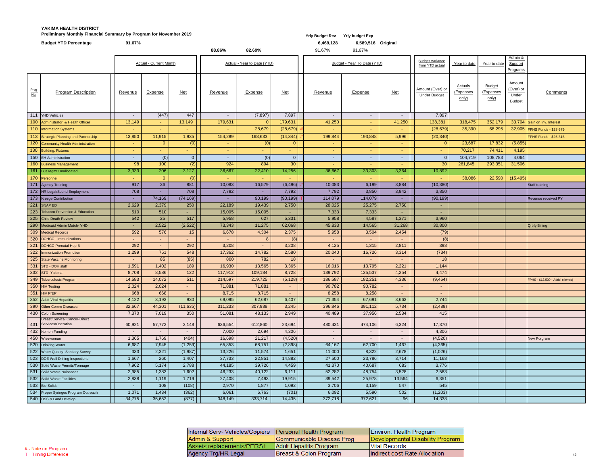#### **YAKIMA HEALTH DISTRICT Preliminary Monthly Financial Summary by Program for November 2019** *Yrly Budget Rev**Yrly Budget Rev**Yrly budget Exp*

| Internal Serv- Vehicles/Copiers | Personal Health Program   |
|---------------------------------|---------------------------|
| Admin & Support                 | Communicable Disease Prog |
| Assets replacements/PERS1       | Adult Hepatitis Program   |
| Agency Trg/HR Legal             | Breast & Colon Program    |

|             |                                                                | <b>Actual - Current Month</b> |                |                 | Actual - Year to Date (YTD) |                 |                | Budget - Year To Date (YTD) |                | <b>Budget Variance</b><br>from YTD actual | Year to date                            | Year to date                         | Admin &<br>Support<br>Programs             |                                                      |                                    |
|-------------|----------------------------------------------------------------|-------------------------------|----------------|-----------------|-----------------------------|-----------------|----------------|-----------------------------|----------------|-------------------------------------------|-----------------------------------------|--------------------------------------|--------------------------------------------|------------------------------------------------------|------------------------------------|
| Prog<br>No. | <b>Program Description</b>                                     | Revenue                       | <b>Expense</b> | $Net$           | Revenue                     | <b>Expense</b>  | $Net$          | Revenue                     | <b>Expense</b> | $Net$                                     | Amount (Over) or<br><b>Under Budget</b> | <b>Actuals</b><br>(Expenses<br>only) | <b>Budget</b><br><u>(Expenses</u><br>only) | <b>Amount</b><br>(Over) or<br>Under<br><b>Budget</b> | <b>Comments</b>                    |
|             | 111 YHD Vehicles                                               | $\sim$                        | (447)          | 447             | $\sim$                      | (7, 897)        | 7,897          | $\sim$                      | $\sim$         | $\sim$                                    | 7,897                                   |                                      |                                            |                                                      |                                    |
|             | 100 Administrator & Health Officer                             | 13,149                        |                | 13,149          | 179,631                     |                 | 179,631        | 41,250                      |                | 41,250                                    | 138,381                                 | 318,475                              | 352,179                                    |                                                      | 33,704 Gain on Inv. Interest       |
|             | 110 Information Systems                                        |                               | $\sim$         |                 |                             | 28,679          | (28, 679)      |                             |                |                                           | (28, 679)                               | 35,390                               | 68,295                                     |                                                      | 32,905 FPHS Funds - \$28,679       |
|             | 113 Strategic Planning and Partnership                         | 13,850                        | 11,915         | 1,935           | 154,289                     | 168,633         | (14, 344)      | 199,844                     | 193,848        | 5,996                                     | (20, 340)                               |                                      |                                            |                                                      | FPHS Funds - \$25,316              |
|             | 120 Community Health Administration                            |                               | $\overline{0}$ | (0)             |                             | (0)             | 0              |                             |                |                                           | $\overline{0}$                          | 23,687                               | 17,832                                     | (5,855)                                              |                                    |
|             | 130 Building, Fixtures                                         |                               |                |                 |                             |                 |                |                             | ۰.             |                                           | $\sim$                                  | 70,217                               | 74,411                                     | 4,195                                                |                                    |
|             | 150 EH Administration                                          |                               | (0)            | 0 <sup>1</sup>  |                             | (0)             | $\overline{0}$ |                             |                |                                           | $\overline{0}$                          | 104,719                              | 108,783                                    | 4,064                                                |                                    |
|             | 160 Business Management                                        | 98                            | 100            | (2)             | 924                         | 894             | 30             |                             | н.             |                                           | 30                                      | 261,845                              | 293,351                                    | 31,506                                               |                                    |
|             | 161 Bus Mgmt Unallocated                                       | 3,333                         | 206            | 3,127           | 36,667                      | 22,410          | 14,256         | 36,667                      | 33,303         | 3,364                                     | 10,892                                  |                                      |                                            |                                                      |                                    |
|             | 170 Personnel                                                  |                               | $\overline{0}$ | (0)             | <b>Contract</b>             | $\sim$          | ٠              |                             |                |                                           | $\sim$                                  | 38,086                               | 22,590                                     | (15, 495)                                            |                                    |
|             | 171 Agency Training                                            | 917                           | 36             | 881             | 10,083                      | 16,579          | (6, 496)       | 10,083                      | 6,199          | 3,884                                     | (10, 380)                               |                                      |                                            |                                                      | Staff training                     |
|             | 172 HR Legal/Sound Employment                                  | 708                           | $\sim$         | 708             | 7,792                       | $\sim$ 10 $\pm$ | 7,792          | 7,792                       | 3,850          | 3,942                                     | 3,850                                   |                                      |                                            |                                                      |                                    |
|             | 173 Kresge Contribution                                        |                               | 74,169         | (74, 169)       |                             | 90,199          | (90, 199)      | 114,079                     | 114,079        |                                           | (90, 199)                               |                                      |                                            |                                                      | Revenue received PY                |
|             | 221 SNAP ED                                                    | 2,629                         | 2,379          | 250             | 22,189                      | 19,439          | 2,750          | 28,025                      | 25,275         | 2,750                                     | $\sim$                                  |                                      |                                            |                                                      |                                    |
|             | 223 Tobacco Prevention & Education                             | 510                           | 510            | <b>Section</b>  | 15,005                      | 15,005          | ٠              | 7,333                       | 7,333          |                                           | $\sim$                                  |                                      |                                            |                                                      |                                    |
|             | 225 Child Death Review                                         | 542                           | 25             | 517             | 5,958                       | 627             | 5,331          | 5,958                       | 4,587          | 1,371                                     | 3,960                                   |                                      |                                            |                                                      |                                    |
|             | 290 Medicaid Admin Match-YHD                                   |                               | 2,522          | (2,522)         | 73,343                      | 11,275          | 62,068         | 45,833                      | 14,565         | 31,268                                    | 30,800                                  |                                      |                                            |                                                      | <b>Qrtrly Billing</b>              |
|             | 309 Medical Records                                            | 592                           | 576            | 15              | 6,678                       | 4,304           | 2,375          | 5,958                       | 3,504          | 2,454                                     | (79)                                    |                                      |                                            |                                                      |                                    |
|             | 320 DOHCC - Immunizations                                      |                               |                |                 |                             | 8               | (8)            |                             |                |                                           | (8)                                     |                                      |                                            |                                                      |                                    |
|             | 321  DOHCC-Prenatal Hep B                                      | 292                           | $\sim$         | 292             | 3,208                       | $\sim$          | 3,208          | 4,125                       | 1,315          | 2,811                                     | 398                                     |                                      |                                            |                                                      |                                    |
|             | 322 Immunization Promotion                                     | 1,299                         | 751            | 548             | 17,362                      | 14,782          | 2,580          | 20,040                      | 16,726         | 3,314                                     | (734)                                   |                                      |                                            |                                                      |                                    |
|             | 325 State Vaccine Monitoring                                   |                               | 85             | (85)            | 800                         | 782             | 18             |                             |                |                                           | 18                                      |                                      |                                            |                                                      |                                    |
| 331         | STD - DOH staff                                                | 1,591                         | 1,402          | 189             | 16,930                      | 13,565          | 3,365          | 16,016                      | 13,795         | 2,221                                     | 1,144                                   |                                      |                                            |                                                      |                                    |
|             | 332 STD-Yakima                                                 | 8,708                         | 8,586          | 122             | 117,912                     | 109,184         | 8,728          | 139,792                     | 135,537        | 4,254                                     | 4,474                                   |                                      |                                            |                                                      |                                    |
|             | 349 Tuberculosis Program                                       | 14,583                        | 14,072         | 511             | 214,597                     | 219,725         | (5, 128)       | 186,587                     | 182,251        | 4,336                                     | (9, 464)                                |                                      |                                            |                                                      | FPHS - \$12,530 - Addt'l client(s) |
|             | 350 HIV Testing                                                | 2,024                         | 2,024          | $\sim$ 10 $\pm$ | 71,881                      | 71,881          | ۰.             | 90,782                      | 90,782         |                                           | $\sim$                                  |                                      |                                            |                                                      |                                    |
|             | 351 HIV PrEP                                                   | 668                           | 668            | $\sim$ 10 $\pm$ | 8,715                       | 8,715           | ۰.             | 8,258                       | 8,258          | $\sim$                                    | $\sim$                                  |                                      |                                            |                                                      |                                    |
|             | 352 Adult Viral Hepatitis                                      | 4,122                         | 3,193          | 930             | 69,095                      | 62,687          | 6,407          | 71,354                      | 67,691         | 3,663                                     | 2,744                                   |                                      |                                            |                                                      |                                    |
|             | 390 Other Comm Diseases                                        | 32,667                        | 44,301         | (11, 635)       | 311,233                     | 307,988         | 3,245          | 396,846                     | 391,112        | 5,734                                     | (2,489)                                 |                                      |                                            |                                                      |                                    |
|             | 430 Colon Screening                                            | 7,370                         | 7,019          | 350             | 51,081                      | 48,133          | 2,949          | 40,489                      | 37,956         | 2,534                                     | 415                                     |                                      |                                            |                                                      |                                    |
|             | <b>Breast/Cervical Cancer-Direct</b><br>431 Services/Operation | 60,921                        | 57,772         | 3,148           | 636,554                     | 612,860         | 23,694         | 480,431                     | 474,106        | 6,324                                     | 17,370                                  |                                      |                                            |                                                      |                                    |
|             | 432 Komen Funding                                              |                               | $\sim$         |                 | 7,000                       | 2,694           | 4,306          |                             |                |                                           | 4,306                                   |                                      |                                            |                                                      |                                    |
|             | 450 Wisewoman                                                  | 1,365                         | 1,769          | (404)           | 16,698                      | 21,217          | (4,520)        | $\sim$                      | $\sim$         | $\sim$                                    | (4,520)                                 |                                      |                                            |                                                      | <b>New Porgram</b>                 |
|             | 520 Drinking Water                                             | 6,687                         | 7,945          | (1,259)         | 65,853                      | 68,751          | (2,898)        | 64,167                      | 62,700         | 1,467                                     | (4, 365)                                |                                      |                                            |                                                      |                                    |
|             | 522 Water Quality- Sanitary Survey                             | 333                           | 2,321          | (1,987)         | 13,226                      | 11,574          | 1,651          | 11,000                      | 8,322          | 2,678                                     | (1,026)                                 |                                      |                                            |                                                      |                                    |
|             | 523  DOE Well Drilling Inspections                             | 1,667                         | 260            | 1,407           | 37,733                      | 22,851          | 14,882         | 27,500                      | 23,786         | 3,714                                     | 11,168                                  |                                      |                                            |                                                      |                                    |
|             | 530 Solid Waste Permits/Tonnage                                | 7,962                         | 5,174          | 2,788           | 44,185                      | 39,726          | 4,459          | 41,370                      | 40,687         | 683                                       | 3,776                                   |                                      |                                            |                                                      |                                    |
|             | 531 Solid Waste Nuisances                                      | 2,985                         | 1,383          | 1,602           | 46,233                      | 40,122          | 6,111          | 52,282                      | 48,754         | 3,528                                     | 2,583                                   |                                      |                                            |                                                      |                                    |
|             | 532 Solid Waste Facilities                                     | 2,838                         | 1,119          | 1,719           | 27,408                      | 7,493           | 19,915         | 39,542                      | 25,978         | 13,564                                    | 6,351                                   |                                      |                                            |                                                      |                                    |
|             | 533 Bio-Solids                                                 |                               | 108            | (108)           | 2,970                       | 1,877           | 1,092          | 3,706                       | 3,159          | 547                                       | 545                                     |                                      |                                            |                                                      |                                    |
|             | 534 Proper Syringes Program Outreach                           | 1,071                         | 1,434          | (362)           | 6,061                       | 6,763           | (701)          | 6,092                       | 5,590          | 502                                       | (1, 203)                                |                                      |                                            |                                                      |                                    |
|             | 540 OSS & Land Develop                                         | 34,775                        | 35,652         | (877)           | 348,149                     | 333,714         | 14,435         | 372,718                     | 372,621        | 96                                        | 14,338                                  |                                      |                                            |                                                      |                                    |

| Environ. Health Program          |
|----------------------------------|
| Developmental Disability Program |
| Vital Records                    |
| Indirect cost Rate Allocation    |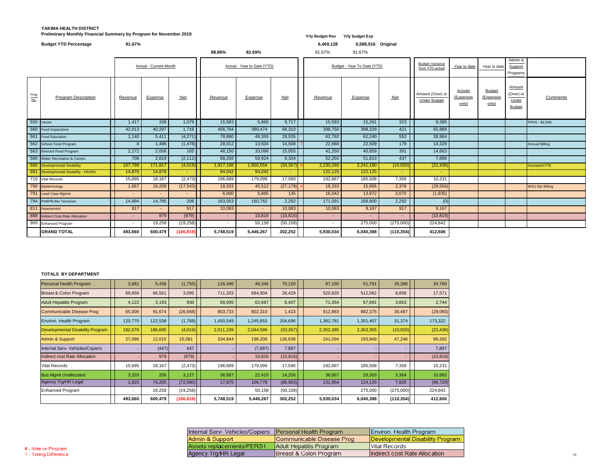### **YAKIMA HEALTH DISTRICT Preliminary Monthly Financial Summary by Program for November 2019** *Yrly Budget Rev**Yrly Budget Rev**Yrly budget Exp*

|                    | <b>Budget YTD Percentage</b>           | 91.67%         |                               |            |           |                             |           | 6,469,128 | 6,589,516 Original          |                  |                                           |                                      |                                     |                                               |                        |
|--------------------|----------------------------------------|----------------|-------------------------------|------------|-----------|-----------------------------|-----------|-----------|-----------------------------|------------------|-------------------------------------------|--------------------------------------|-------------------------------------|-----------------------------------------------|------------------------|
|                    |                                        |                |                               |            | 88.86%    | 82.69%                      |           | 91.67%    | 91.67%                      |                  |                                           |                                      |                                     |                                               |                        |
|                    |                                        |                | <b>Actual - Current Month</b> |            |           | Actual - Year to Date (YTD) |           |           | Budget - Year To Date (YTD) |                  | <b>Budget Variance</b><br>from YTD actual | Year to date                         | Year to date                        | Admin &<br>Support<br>Programs                |                        |
| $\frac{Prog}{No.}$ | <b>Program Description</b>             | <b>Revenue</b> | <b>Expense</b>                | $Net$      | Revenue   | <b>Expense</b>              | $Net$     | Revenue   | Expense                     | <u>Net</u>       | Amount (Over) or<br><b>Under Budget</b>   | <b>Actuals</b><br>(Expenses<br>only) | <b>Budget</b><br>(Expenses<br>only) | Amount<br>(Over) or<br>Under<br><b>Budget</b> | Comments               |
| 550 Vector         |                                        | 1,417          | $\overline{338}$              | 1,079      | 15,583    | 5,866                       | 9,717     | 15,583    | 15,261                      | $\overline{323}$ | 9,395                                     |                                      |                                     |                                               | FPHS - \$2,936         |
|                    | 560 Food Inspections                   | 42,013         | 40,297                        | 1,716      | 456,784   | 390,474                     | 66,310    | 398,750   | 398,329                     | 421              | 65,889                                    |                                      |                                     |                                               |                        |
|                    | 561 Food Education                     | 1,140          | 5,411                         | (4,271)    | 78,890    | 49,355                      | 29,535    | 62,792    | 62,240                      | 552              | 28,984                                    |                                      |                                     |                                               |                        |
|                    | 562 School Food Program                | 8              | 1,486                         | (1, 478)   | 28,012    | 13,504                      | 14,508    | 22,688    | 22,509                      | 179              | 14,329                                    |                                      |                                     |                                               | <b>Annual Billing</b>  |
|                    | 563 Itinerant Food Program             | 2,172          | 2,006                         | 165        | 48,150    | 33,096                      | 15,055    | 41,250    | 40,859                      | 391              | 14,663                                    |                                      |                                     |                                               |                        |
|                    | 580 Water Recreation & Camps           | 708            | 2,819                         | (2, 111)   | 68,258    | 59,924                      | 8,334     | 52,250    | 51,813                      | 437              | 7,896                                     |                                      |                                     |                                               |                        |
|                    | 680 Developmental Disability           | 167,798        | 171,817                       | (4,019)    | 1,917,198 | 1,950,554                   | (33, 357) | 2,230,260 | 2,241,180                   | (10, 920)        | (22, 436)                                 |                                      |                                     |                                               | Increased FTE          |
|                    | 681 Developmental Disability - Info/Ed | 14,878         | 14,878                        | $\sim$ $-$ | 94,042    | 94,042                      | and the   | 122,125   | 122,125                     | $\sim$ 10 $\pm$  | $\sim$                                    |                                      |                                     |                                               |                        |
|                    | 710 Vital Records                      | 15,695         | 18,167                        | (2, 473)   | 196,689   | 179,099                     | 17,590    | 192,867   | 185,508                     | 7,359            | 10,231                                    |                                      |                                     |                                               |                        |
|                    | 790 Epidemiology                       | 1,667          | 19,209                        | (17, 543)  | 18,333    | 45,512                      | (27, 178) | 18,333    | 15,956                      | 2,378            | (29, 556)                                 |                                      |                                     |                                               | <b>WSU Epi Billing</b> |
|                    | 791 Lead Case Mgmnt                    | $\sim$         |                               | $\sim$     | 6,000     | 5,865                       | 135       | 16,042    | 13,972                      | 2,070            | (1,935)                                   |                                      |                                     |                                               |                        |
|                    | 794 PHEPR-Bio Terrorism                | 14,994         | 14,785                        | 208        | 163,053   | 160,762                     | 2,292     | 171,091   | 168,800                     | 2,292            | (0)                                       |                                      |                                     |                                               |                        |
|                    | 811 Assessment                         | 917            |                               | 917        | 10,083    | $\sim$                      | 10,083    | 10,083    | 9,167                       | 917              | 9,167                                     |                                      |                                     |                                               |                        |
|                    | 888 Indirect Cost Rate Allocation      | $\sim 10$      | 979                           | (979)      | $\sim$    | 10,816                      | (10, 816) | $\sim$    |                             | $\sim$           | (10, 816)                                 |                                      |                                     |                                               |                        |
|                    | 900 Enhanced Program                   | $\sim$         | 19,258                        | (19,258)   | $\sim$    | 50,158                      | (50, 158) |           | 275,000                     | (275,000)        | 224,842                                   |                                      |                                     |                                               |                        |
|                    | <b>GRAND TOTAL</b>                     | 493,660        | 600,479                       | (106, 819) | 5,748,519 | 5,446,267                   | 302,252   | 5,930,034 | 6,040,388                   | (110, 354)       | 412,606                                   |                                      |                                     |                                               |                        |

### **TOTALS BY DEPARTMENT**

| Personal Health Program                 | 3,681                    | 5,436   | (1,755)    | 116,496                  | 46,346    | 70,150    | 87,150                   | 51,761    | 35,390     | 34,760    |
|-----------------------------------------|--------------------------|---------|------------|--------------------------|-----------|-----------|--------------------------|-----------|------------|-----------|
| Breast & Colon Program                  | 69,656                   | 66,561  | 3,095      | 711,333                  | 684,904   | 26,429    | 520,920                  | 512,062   | 8,858      | 17,571    |
| <b>Adult Hepatitis Program</b>          | 4,122                    | 3,193   | 930        | 69,095                   | 62,687    | 6,407     | 71,354                   | 67,691    | 3,663      | 2,744     |
| Communicable Disease Prog               | 65,006                   | 91,674  | (26,668)   | 803,733                  | 802,310   | 1,423     | 912,863                  | 882,375   | 30,487     | (29,065)  |
| Environ. Health Program                 | 120,770                  | 122,538 | (1,768)    | 1,450,549                | 1,245,853 | 204,696   | 1,382,781                | 1,351,407 | 31,374     | 173,322   |
| <b>Developmental Disability Program</b> | 182,676                  | 186,695 | (4,019)    | 2,011,239                | 2,044,596 | (33, 357) | 2,352,385                | 2,363,305 | (10, 920)  | (22, 436) |
| Admin & Support                         | 27,096                   | 12,015  | 15,081     | 334,844                  | 198,206   | 136,638   | 241,094                  | 193,848   | 47,246     | 89,392    |
| Internal Serv- Vehicles/Copiers         |                          | (447)   | 447        |                          | (7, 897)  | 7,897     |                          |           |            | 7,897     |
| <b>Indirect cost Rate Allocation</b>    |                          | 979     | (979)      |                          | 10,816    | (10, 816) |                          |           |            | (10, 816) |
| <b>Vital Records</b>                    | 15,695                   | 18,167  | (2, 473)   | 196,689                  | 179,099   | 17,590    | 192,867                  | 185,508   | 7,359      | 10,231    |
| <b>Bus Mgmt Unallocated</b>             | 3,333                    | 206     | 3,127      | 36,667                   | 22,410    | 14,256    | 36,667                   | 33,303    | 3,364      | 10,892    |
| Agency Trg/HR Legal                     | 1,625                    | 74,205  | (72, 580)  | 17,875                   | 106,778   | (88,903)  | 131,954                  | 124,129   | 7,826      | (96, 729) |
| Enhanced Program                        | $\overline{\phantom{a}}$ | 19,258  | (19,258)   | $\overline{\phantom{a}}$ | 50,158    | (50, 158) | $\overline{\phantom{a}}$ | 275,000   | (275,000)  | 224,842   |
|                                         | 493,660                  | 600,479 | (106, 819) | 5,748,519                | 5,446,267 | 302,252   | 5,930,034                | 6,040,388 | (110, 354) | 412,606   |

|                           | Internal Serv- Vehicles/Copiers   Personal Health Program | Environ. Health Program          |
|---------------------------|-----------------------------------------------------------|----------------------------------|
| Admin & Support           | Communicable Disease Prog                                 | Developmental Disability Program |
| Assets replacements/PERS1 | Adult Hepatitis Program                                   | Wital Records                    |
| Agency Trg/HR Legal       | Breast & Colon Program                                    | Indirect cost Rate Allocation    |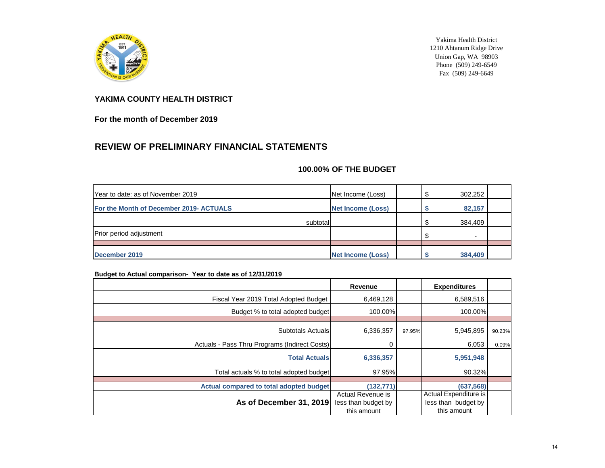

Yakima Health District 1210 Ahtanum Ridge Drive Union Gap, WA 98903 Phone (509) 249-6549 Fax (509) 249-6649

#### **YAKIMA COUNTY HEALTH DISTRICT**

**For the month of December 2019**

### **REVIEW OF PRELIMINARY FINANCIAL STATEMENTS**

#### **100.00% OF THE BUDGET**

| Year to date: as of November 2019       | Net Income (Loss)        | 302,252                  |  |
|-----------------------------------------|--------------------------|--------------------------|--|
| For the Month of December 2019- ACTUALS | Net Income (Loss)        | 82,157                   |  |
| subtotal                                |                          | 384,409                  |  |
| <b>Prior period adjustment</b>          |                          | $\overline{\phantom{a}}$ |  |
|                                         |                          |                          |  |
| December 2019                           | <b>Net Income (Loss)</b> | 384,409                  |  |

#### **Budget to Actual comparison- Year to date as of 12/31/2019**

|                                               | <b>Revenue</b>      |        | <b>Expenditures</b>   |        |
|-----------------------------------------------|---------------------|--------|-----------------------|--------|
| Fiscal Year 2019 Total Adopted Budget         | 6,469,128           |        | 6,589,516             |        |
| Budget % to total adopted budget              | 100.00%             |        | 100.00%               |        |
|                                               |                     |        |                       |        |
| Subtotals Actuals                             | 6,336,357           | 97.95% | 5,945,895             | 90.23% |
| Actuals - Pass Thru Programs (Indirect Costs) |                     |        | 6,053                 | 0.09%  |
| <b>Total Actuals</b>                          | 6,336,357           |        | 5,951,948             |        |
| Total actuals % to total adopted budget       | 97.95%              |        | 90.32%                |        |
| Actual compared to total adopted budget       | (132, 771)          |        | (637, 568)            |        |
|                                               | Actual Revenue is   |        | Actual Expenditure is |        |
| As of December 31, 2019                       | less than budget by |        | less than budget by   |        |
|                                               | this amount         |        | this amount           |        |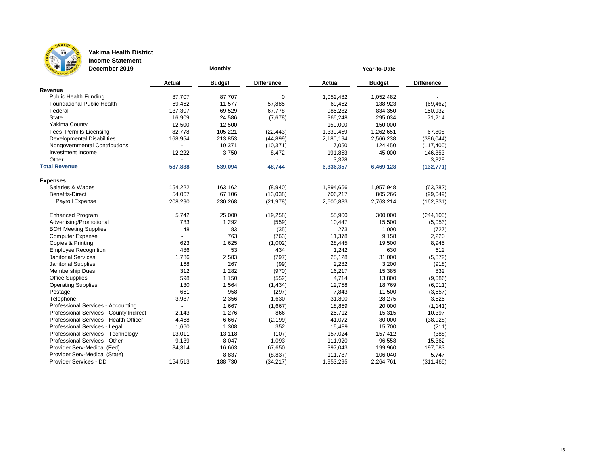

## **Yakima Health District**

**Income Statement December 2019**

|                                         | <b>Actual</b> | <b>Budget</b> | <b>Difference</b>        | <b>Actual</b> | <b>Budget</b> | <b>Difference</b> |
|-----------------------------------------|---------------|---------------|--------------------------|---------------|---------------|-------------------|
| Revenue                                 |               |               |                          |               |               |                   |
| <b>Public Health Funding</b>            | 87,707        | 87,707        | $\mathbf 0$              | 1,052,482     | 1,052,482     |                   |
| <b>Foundational Public Health</b>       | 69,462        | 11,577        | 57,885                   | 69,462        | 138,923       | (69, 462)         |
| Federal                                 | 137,307       | 69,529        | 67,778                   | 985,282       | 834,350       | 150,932           |
| <b>State</b>                            | 16,909        | 24,586        | (7,678)                  | 366,248       | 295,034       | 71,214            |
| <b>Yakima County</b>                    | 12,500        | 12,500        |                          | 150,000       | 150,000       |                   |
| Fees, Permits Licensing                 | 82,778        | 105,221       | (22, 443)                | 1,330,459     | 1,262,651     | 67,808            |
| <b>Developmental Disabilities</b>       | 168,954       | 213,853       | (44, 899)                | 2,180,194     | 2,566,238     | (386, 044)        |
| Nongovernmental Contributions           |               | 10,371        | (10, 371)                | 7,050         | 124,450       | (117, 400)        |
| Investment Income                       | 12,222        | 3,750         | 8,472                    | 191,853       | 45,000        | 146,853           |
| Other                                   |               |               | $\overline{\phantom{a}}$ | 3,328         |               | 3,328             |
| <b>Total Revenue</b>                    | 587,838       | 539,094       | 48,744                   | 6,336,357     | 6,469,128     | (132, 771)        |
| <b>Expenses</b>                         |               |               |                          |               |               |                   |
| Salaries & Wages                        | 154,222       | 163,162       | (8,940)                  | 1,894,666     | 1,957,948     | (63, 282)         |
| <b>Benefits-Direct</b>                  | 54,067        | 67,106        | (13,038)                 | 706,217       | 805,266       | (99, 049)         |
| Payroll Expense                         | 208,290       | 230,268       | (21, 978)                | 2,600,883     | 2,763,214     | (162, 331)        |
| <b>Enhanced Program</b>                 | 5,742         | 25,000        | (19, 258)                | 55,900        | 300,000       | (244, 100)        |
| Advertising/Promotional                 | 733           | 1,292         | (559)                    | 10,447        | 15,500        | (5,053)           |
| <b>BOH Meeting Supplies</b>             | 48            | 83            | (35)                     | 273           | 1,000         | (727)             |
| <b>Computer Expense</b>                 |               | 763           | (763)                    | 11,378        | 9,158         | 2,220             |
| Copies & Printing                       | 623           | 1,625         | (1,002)                  | 28,445        | 19,500        | 8,945             |
| <b>Employee Recognition</b>             | 486           | 53            | 434                      | 1,242         | 630           | 612               |
| <b>Janitorial Services</b>              | 1,786         | 2,583         | (797)                    | 25,128        | 31,000        | (5,872)           |
| <b>Janitorial Supplies</b>              | 168           | 267           | (99)                     | 2,282         | 3,200         | (918)             |
| <b>Membership Dues</b>                  | 312           | 1,282         | (970)                    | 16,217        | 15,385        | 832               |
| <b>Office Supplies</b>                  | 598           | 1,150         | (552)                    | 4,714         | 13,800        | (9,086)           |
| <b>Operating Supplies</b>               | 130           | 1,564         | (1,434)                  | 12,758        | 18,769        | (6,011)           |
| Postage                                 | 661           | 958           | (297)                    | 7,843         | 11,500        | (3,657)           |
| Telephone                               | 3,987         | 2,356         | 1,630                    | 31,800        | 28,275        | 3,525             |
| Professional Services - Accounting      |               | 1,667         | (1,667)                  | 18,859        | 20,000        | (1, 141)          |
| Professional Services - County Indirect | 2,143         | 1,276         | 866                      | 25,712        | 15,315        | 10,397            |
| Professional Services - Health Officer  | 4,468         | 6,667         | (2, 199)                 | 41,072        | 80,000        | (38, 928)         |
| Professional Services - Legal           | 1,660         | 1,308         | 352                      | 15,489        | 15,700        | (211)             |
| Professional Services - Technology      | 13,011        | 13,118        | (107)                    | 157,024       | 157,412       | (388)             |
| Professional Services - Other           | 9,139         | 8,047         | 1,093                    | 111,920       | 96,558        | 15,362            |
| Provider Serv-Medical (Fed)             | 84,314        | 16,663        | 67,650                   | 397,043       | 199,960       | 197,083           |
| Provider Serv-Medical (State)           |               | 8,837         | (8,837)                  | 111,787       | 106,040       | 5,747             |
| Provider Services - DD                  | 154,513       | 188,730       | (34, 217)                | 1,953,295     | 2,264,761     | (311, 466)        |

**Monthly Monthly** *Monthly Monthly Monthly Mear-to-Date**A*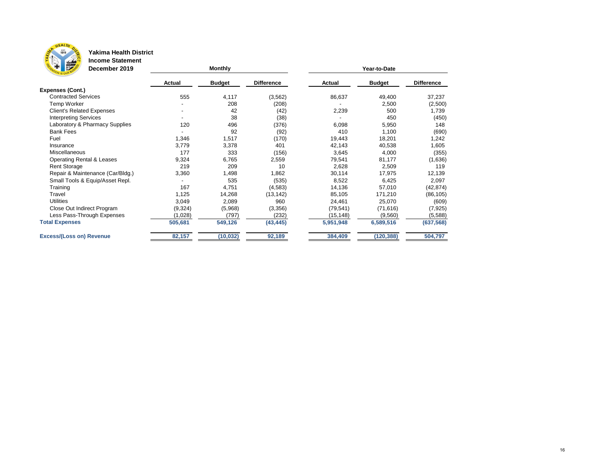

### **Yakima Health District**

**Income Statement**

| Ŧ<br><b>PO</b><br>December 2019      |               | <b>Monthly</b> |                   | Year-to-Date  |               |                   |  |  |  |  |
|--------------------------------------|---------------|----------------|-------------------|---------------|---------------|-------------------|--|--|--|--|
|                                      | <b>Actual</b> | <b>Budget</b>  | <b>Difference</b> | <b>Actual</b> | <b>Budget</b> | <b>Difference</b> |  |  |  |  |
| <b>Expenses (Cont.)</b>              |               |                |                   |               |               |                   |  |  |  |  |
| <b>Contracted Services</b>           | 555           | 4,117          | (3, 562)          | 86,637        | 49,400        | 37,237            |  |  |  |  |
| <b>Temp Worker</b>                   |               | 208            | (208)             |               | 2,500         | (2,500)           |  |  |  |  |
| <b>Client's Related Expenses</b>     |               | 42             | (42)              | 2,239         | 500           | 1,739             |  |  |  |  |
| <b>Interpreting Services</b>         |               | 38             | (38)              |               | 450           | (450)             |  |  |  |  |
| Laboratory & Pharmacy Supplies       | 120           | 496            | (376)             | 6,098         | 5,950         | 148               |  |  |  |  |
| <b>Bank Fees</b>                     |               | 92             | (92)              | 410           | 1,100         | (690)             |  |  |  |  |
| Fuel                                 | 1,346         | 1,517          | (170)             | 19,443        | 18,201        | 1,242             |  |  |  |  |
| Insurance                            | 3,779         | 3,378          | 401               | 42,143        | 40,538        | 1,605             |  |  |  |  |
| Miscellaneous                        | 177           | 333            | (156)             | 3,645         | 4,000         | (355)             |  |  |  |  |
| <b>Operating Rental &amp; Leases</b> | 9,324         | 6,765          | 2,559             | 79,541        | 81,177        | (1,636)           |  |  |  |  |
| <b>Rent Storage</b>                  | 219           | 209            | 10                | 2,628         | 2,509         | 119               |  |  |  |  |
| Repair & Maintenance (Car/Bldg.)     | 3,360         | 1,498          | 1,862             | 30,114        | 17,975        | 12,139            |  |  |  |  |
| Small Tools & Equip/Asset Repl.      |               | 535            | (535)             | 8,522         | 6,425         | 2,097             |  |  |  |  |
| Training                             | 167           | 4,751          | (4, 583)          | 14,136        | 57,010        | (42, 874)         |  |  |  |  |
| Travel                               | 1,125         | 14,268         | (13, 142)         | 85,105        | 171,210       | (86, 105)         |  |  |  |  |
| <b>Utilities</b>                     | 3,049         | 2,089          | 960               | 24,461        | 25,070        | (609)             |  |  |  |  |
| Close Out Indirect Program           | (9, 324)      | (5,968)        | (3,356)           | (79, 541)     | (71, 616)     | (7, 925)          |  |  |  |  |
| Less Pass-Through Expenses           | (1,028)       | (797)          | (232)             | (15, 148)     | (9, 560)      | (5, 588)          |  |  |  |  |
| <b>Total Expenses</b>                | 505,681       | 549,126        | (43, 445)         | 5,951,948     | 6,589,516     | (637, 568)        |  |  |  |  |
| <b>Excess/(Loss on) Revenue</b>      | 82,157        | (10, 032)      | 92,189            | 384,409       | (120, 388)    | 504,797           |  |  |  |  |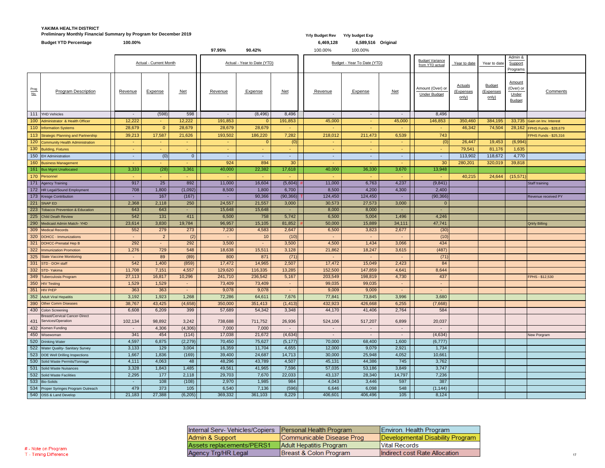### **YAKIMA HEALTH DISTRICT Preliminary Monthly Financial Summary by Program for December 2019** *Yrly Budget Rev**Yrly Budget Rev**Yrly budget Exp*

|                               | <b>Budget YTD Percentage</b>                          | 100.00%           |                               |                  |                  |                             |                  | 6,469,128         | 6,589,516 Original          |                 |                                    |                                    |                     |               |                              |
|-------------------------------|-------------------------------------------------------|-------------------|-------------------------------|------------------|------------------|-----------------------------|------------------|-------------------|-----------------------------|-----------------|------------------------------------|------------------------------------|---------------------|---------------|------------------------------|
|                               |                                                       |                   |                               |                  | 97.95%           | 90.42%                      |                  | 100.00%           | 100.00%                     |                 |                                    |                                    |                     |               |                              |
|                               |                                                       |                   |                               |                  |                  |                             |                  |                   |                             |                 | <b>Budget Variance</b>             |                                    |                     | Admin &       |                              |
|                               |                                                       |                   | <b>Actual - Current Month</b> |                  |                  | Actual - Year to Date (YTD) |                  |                   | Budget - Year To Date (YTD) |                 | from YTD actual                    | Year to date                       | Year to date        | Support       |                              |
|                               |                                                       |                   |                               |                  |                  |                             |                  |                   |                             |                 |                                    |                                    |                     | Programs      |                              |
|                               |                                                       |                   |                               |                  |                  |                             |                  |                   |                             |                 |                                    |                                    |                     | <b>Amount</b> |                              |
| $rac{\text{Prog}}{\text{No}}$ | <b>Program Description</b>                            | Revenue           | <b>Expense</b>                | $Net$            | Revenue          | <b>Expense</b>              | $Net$            | Revenue           | <b>Expense</b>              | $Net$           | Amount (Over) or                   | <b>Actuals</b><br><u>(Expenses</u> | Budget<br>(Expenses | (Over) or     | <b>Comments</b>              |
|                               |                                                       |                   |                               |                  |                  |                             |                  |                   |                             |                 | <b>Under Budget</b>                | only)                              | only)               | Under         |                              |
|                               |                                                       |                   |                               |                  |                  |                             |                  |                   |                             |                 |                                    |                                    |                     | <b>Budget</b> |                              |
|                               |                                                       |                   |                               |                  |                  |                             |                  |                   |                             |                 |                                    |                                    |                     |               |                              |
|                               | 111 YHD Vehicles                                      | $\sim$            | (598)                         | 598              | $\sim$           | (8, 496)                    | 8,496            | $\sim$            | $\sim$                      | $\sim$          | 8,496                              |                                    |                     |               |                              |
|                               | 100 Administrator & Health Officer                    | 12,222            | $\sim$ 10 $\pm$               | 12,222           | 191,853          | $\overline{0}$              | 191,853          | 45,000            | and the                     | 45,000          | 146,853                            | 350,460                            | 384,195             |               | 33,735 Gain on Inv. Interest |
|                               | 110 Information Systems                               | 28,679            | $\overline{0}$                | 28,679           | 28,679           | 28,679                      | $\sim$           | <b>Contract</b>   | <b>Section</b>              | $\sim$          | $\sim$                             | 46,342                             | 74,504              |               | 28,162 FPHS Funds - \$28,679 |
|                               | 113 Strategic Planning and Partnership                | 39,213            | 17,587                        | 21,626           | 193,502          | 186,220                     | 7,282            | 218,012           | 211,473                     | 6,539           | 743                                |                                    |                     |               | FPHS Funds - \$25,316        |
|                               | 120 Community Health Administration                   | $\sim$ .          |                               | ٠                |                  | $\overline{0}$              | (0)              |                   | $\sim$                      | $\sim$          | (0)                                | 26,447                             | 19,453              | (6,994)       |                              |
|                               | 130 Building, Fixtures                                | $\sim$ .          |                               | ٠                |                  |                             |                  |                   | <b>Section</b>              | $\sim$          |                                    | 79,541                             | 81,176              | 1,635         |                              |
|                               | 150 EH Administration                                 | $\sim$            | (0)                           | $\overline{0}$   | ۰.               |                             | $\sim$           |                   | $\sim$                      | ж.              | $\sim$                             | 113,902                            | 118,672             | 4,770         |                              |
|                               | 160 Business Management                               | $\sim$            | $\sim$                        | $\sim$           | 924              | 894                         | 30 <sup>°</sup>  | $\sim$            | <b>Contract</b>             |                 | 30                                 | 280,201                            | 320,019             | 39,818        |                              |
|                               | 161 Bus Mgmt Unallocated                              | 3,333             | (28)                          | 3,361            | 40,000           | 22,382                      | 17,618           | 40,000            | 36,330                      | 3,670           | 13,948                             |                                    |                     |               |                              |
|                               | 170 Personnel                                         | $\sim$            |                               |                  |                  |                             |                  |                   |                             |                 |                                    | 40,215                             | 24,644              | (15, 571)     |                              |
|                               | 171 Agency Training                                   | 917               | 25                            | 892              | 11,000           | 16,604                      | $(5,604)$ #      | 11,000            | 6,763                       | 4,237           | (9,841)                            |                                    |                     |               | Staff training               |
|                               | 172 HR Legal/Sound Employment                         | 708               | 1,800                         | (1,092)          | 8,500            | 1,800                       | 6,700            | 8,500             | 4,200                       | 4,300           | 2,400                              |                                    |                     |               |                              |
|                               | 173 Kresge Contribution                               |                   | 167                           | (167)            |                  | 90,366                      | $(90,366)$   1   | 124,450           | 124,450                     |                 | (90, 366)                          |                                    |                     |               | Revenue received PY          |
|                               | 221 SNAP ED                                           | 2,368             | 2,118                         | 250              | 24,557           | 21,557                      | 3,000            | 30,573            | 27,573                      | 3,000           | $\overline{0}$                     |                                    |                     |               |                              |
|                               | 223 Tobacco Prevention & Education                    | 643               | 643                           |                  | 15,648           | 15,648                      | $\sim$           | 8,000             | 8,000                       |                 |                                    |                                    |                     |               |                              |
|                               | 225 Child Death Review                                | 542               | 131                           | 411              | 6,500            | 758                         | 5,742            | 6,500             | 5,004                       | 1,496           | 4,246                              |                                    |                     |               |                              |
|                               | 290 Medicaid Admin Match-YHD                          | 23,614            | 3,830                         | 19,784           | 96,957           | 15,105                      | 81,852           | 50,000            | 15,889                      | 34,111          | 47,741                             |                                    |                     |               | <b>Qrtrly Billing</b>        |
|                               | 309 Medical Records                                   | 552               | 279                           | 273              | 7,230            | 4,583                       | 2,647            | 6,500             | 3,823                       | 2,677           | (30)                               |                                    |                     |               |                              |
|                               | 320 DOHCC - Immunizations<br>321 DOHCC-Prenatal Hep B | $\sim$<br>292     | 2 <sup>2</sup>                | (2)<br>292       | ۰.<br>3,500      | 10 <sup>°</sup>             | (10)<br>3,500    | $\sim$<br>4,500   | $\sim$<br>1,434             | 3,066           | (10)<br>434                        |                                    |                     |               |                              |
|                               | 322 Immunization Promotion                            | 1,276             | ۰.<br>729                     | 548              | 18,638           | 15,511                      | 3,128            | 21,862            | 18,247                      | 3,615           | (487)                              |                                    |                     |               |                              |
|                               | 325 State Vaccine Monitoring                          | $\sim$ .          | 89                            | (89)             | 800              | 871                         | (71)             | $\sim$            | $\sim$                      | $\sim$          | (71)                               |                                    |                     |               |                              |
|                               | 331 STD - DOH staff                                   | 542               | 1,400                         | (859)            | 17,472           | 14,965                      | 2,507            | 17,472            | 15,049                      | 2,423           | 84                                 |                                    |                     |               |                              |
|                               | 332 STD-Yakima                                        | 11,708            | 7,151                         | 4,557            | 129,620          | 116,335                     | 13,285           | 152,500           | 147,859                     | 4,641           | 8,644                              |                                    |                     |               |                              |
|                               | 349 Tuberculosis Program                              | 27,113            | 16,817                        | 10,296           | 241,710          | 236,542                     | 5,167            | 203,549           | 198,819                     | 4,730           | 437                                |                                    |                     |               | FPHS - \$12,530              |
|                               | 350 HIV Testing                                       | 1,529             | 1,529                         |                  | 73,409           | 73,409                      | $\sim$           | 99,035            | 99,035                      | $\sim$          |                                    |                                    |                     |               |                              |
|                               | 351 HIV PrEP                                          | 363               | 363                           | $\sim$           | 9,078            | 9,078                       | $\sim$           | 9,009             | 9,009                       | $\sim$          | $\blacksquare$                     |                                    |                     |               |                              |
|                               | 352 Adult Viral Hepatitis                             | 3,192             | 1,923                         | 1,268            | 72,286           | 64,611                      | 7,676            | 77,841            | 73,845                      | 3,996           | 3,680                              |                                    |                     |               |                              |
|                               | 390 Other Comm Diseases                               | 38,767            | 43,425                        | (4,658)          | 350,000          | 351,413                     | (1, 413)         | 432,923           | 426,668                     | 6,255           | (7,668)                            |                                    |                     |               |                              |
|                               | 430 Colon Screening                                   | 6,608             | 6,209                         | 399              | 57,689           | 54,342                      | 3,348            | 44,170            | 41,406                      | 2,764           | 584                                |                                    |                     |               |                              |
|                               | <b>Breast/Cervical Cancer-Direct</b>                  |                   |                               |                  |                  |                             |                  |                   |                             |                 |                                    |                                    |                     |               |                              |
|                               | 431 Services/Operation<br>432 Komen Funding           | 102,134<br>$\sim$ | 98,892<br>4,306               | 3,242<br>(4,306) | 738,688<br>7,000 | 711,752<br>7,000            | 26,936<br>$\sim$ | 524,106<br>$\sim$ | 517,207<br>$\sim$           | 6,899<br>$\sim$ | 20,037<br>$\overline{\phantom{a}}$ |                                    |                     |               |                              |
|                               | 450 Wisewoman                                         | 341               | 454                           | (114)            | 17,038           | 21,672                      | (4,634)          | $\sim$ $-$        | $\sim$                      |                 | (4,634)                            |                                    |                     |               | <b>New Porgram</b>           |
|                               | 520 Drinking Water                                    | 4,597             | 6,875                         | (2,279)          | 70,450           | 75,627                      | (5, 177)         | 70,000            | 68,400                      | 1,600           | (6,777)                            |                                    |                     |               |                              |
|                               | 522 Water Quality- Sanitary Survey                    | 3,133             | 129                           | 3,004            | 16,359           | 11,704                      | 4,655            | 12,000            | 9,079                       | 2,921           | 1,734                              |                                    |                     |               |                              |
|                               | 523 DOE Well Drilling Inspections                     | 1,667             | 1,836                         | (169)            | 39,400           | 24,687                      | 14,713           | 30,000            | 25,948                      | 4,052           | 10,661                             |                                    |                     |               |                              |
|                               | 530 Solid Waste Permits/Tonnage                       | 4,111             | 4,063                         | 48               | 48,296           | 43,789                      | 4,507            | 45,131            | 44,386                      | 745             | 3,762                              |                                    |                     |               |                              |
|                               | 531 Solid Waste Nuisances                             | 3,328             | 1,843                         | 1,485            | 49,561           | 41,965                      | 7,596            | 57,035            | 53,186                      | 3,849           | 3,747                              |                                    |                     |               |                              |
|                               | 532 Solid Waste Facilities                            | 2,295             | 177                           | 2,118            | 29,703           | 7,670                       | 22,033           | 43,137            | 28,340                      | 14,797          | 7,236                              |                                    |                     |               |                              |
|                               | 533 Bio-Solids                                        | $\sim$            | 108                           | (108)            | 2,970            | 1,985                       | 984              | 4,043             | 3,446                       | 597             | 387                                |                                    |                     |               |                              |
|                               | 534 Proper Syringes Program Outreach                  | 479               | 373                           | 105              | 6,540            | 7,136                       | (596)            | 6,646             | 6,098                       | 548             | (1, 144)                           |                                    |                     |               |                              |
|                               | 540 OSS & Land Develop                                | 21,183            | 27,388                        | (6,205)          | 369,332          | 361,103                     | 8,229            | 406,601           | 406,496                     | 105             | 8,124                              |                                    |                     |               |                              |

| Internal Serv- Vehicles/Copiers   Personal Health Program |                           | Environ. Health Program          |
|-----------------------------------------------------------|---------------------------|----------------------------------|
| Admin & Support                                           | Communicable Disease Prog | Developmental Disability Program |
| Assets replacements/PERS1                                 | Adult Hepatitis Program   | <b>Vital Records</b>             |
| Agency Trg/HR Legal                                       | Breast & Colon Program    | Indirect cost Rate Allocation    |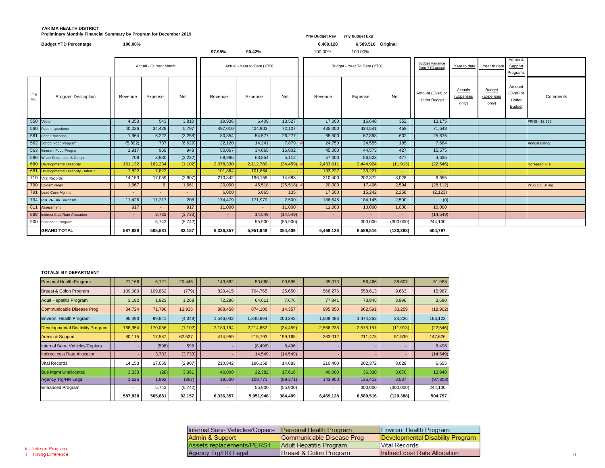### **YAKIMA HEALTH DISTRICT Preliminary Monthly Financial Summary by Program for December 2019** *Preliminary Monthly Financial Summary by Program for December 2019* **<b>***Program COVID 100944 <b>Program <i>Yrly Budget Rev Yrly budget Exp*

|             | <b>Budget YTD Percentage</b>       | 100.00% |                               |            |           |                             |           | 6,469,128 | 6,589,516 Original          |                |                                           |                                      |                                     |                                                      |                        |
|-------------|------------------------------------|---------|-------------------------------|------------|-----------|-----------------------------|-----------|-----------|-----------------------------|----------------|-------------------------------------------|--------------------------------------|-------------------------------------|------------------------------------------------------|------------------------|
|             |                                    |         |                               |            | 97.95%    | 90.42%                      |           | 100.00%   | 100.00%                     |                |                                           |                                      |                                     |                                                      |                        |
|             |                                    |         | <b>Actual - Current Month</b> |            |           | Actual - Year to Date (YTD) |           |           | Budget - Year To Date (YTD) |                | <b>Budget Variance</b><br>from YTD actual | Year to date                         | Year to date                        | Admin &<br>Support<br>Programs                       |                        |
| Prog<br>No. | <b>Program Description</b>         | Revenue | <b>Expense</b>                | $Net$      | Revenue   | <b>Expense</b>              | $Net$     | Revenue   | Expense                     | <u>Net</u>     | Amount (Over) or<br><b>Under Budget</b>   | <b>Actuals</b><br>(Expenses<br>only) | <b>Budget</b><br>(Expenses<br>only) | <b>Amount</b><br>(Over) or<br>Under<br><b>Budget</b> | Comments               |
|             | 550 Vector                         | 4,353   | 543                           | 3,810      | 19,936    | 6,409                       | 13,527    | 17,000    | 16,648                      | 352            | 13,175                                    |                                      |                                     |                                                      | FPHS - \$2,936         |
|             | 560 Food Inspections               | 40,226  | 34,429                        | 5,797      | 497,010   | 424,903                     | 72,107    | 435,000   | 434,541                     | 459            | 71,648                                    |                                      |                                     |                                                      |                        |
| 561         | Food Education                     | 1,964   | 5,222                         | (3,258)    | 80,854    | 54,577                      | 26,277    | 68,500    | 67,898                      | 602            | 25,675                                    |                                      |                                     |                                                      |                        |
|             | 562 School Food Program            | (5,892) | 737                           | (6,629)    | 22,120    | 14,241                      | 7,879     | 24,750    | 24,555                      | 195            | 7,684                                     |                                      |                                     |                                                      | Annual Billing         |
|             | 563 Itinerant Food Program         | 1,917   | 969                           | 948        | 50,067    | 34,065                      | 16,002    | 45,000    | 44,573                      | 427            | 15,575                                    |                                      |                                     |                                                      |                        |
|             | 580 Water Recreation & Camps       | 708     | 3,930                         | (3,222)    | 68,966    | 63,854                      | 5,112     | 57,000    | 56,523                      | 477            | 4,635                                     |                                      |                                     |                                                      |                        |
|             | 680 Developmental Disability       | 161,132 | 162,234                       | (1, 102)   | 2,078,330 | 2,112,789                   | (34, 459) | 2,433,011 | 2,444,924                   | (11, 913)      | (22, 546)                                 |                                      |                                     |                                                      | <b>Increased FTE</b>   |
| 681         | Developmental Disability - Info/Ed | 7,822   | 7,822                         | $\sim$ $-$ | 101,864   | 101,864                     | cent.     | 133,227   | 133,227                     | <b>Section</b> | $\sim$                                    |                                      |                                     |                                                      |                        |
|             | 710 Vital Records                  | 14,153  | 17,059                        | (2,907)    | 210,842   | 196,158                     | 14,683    | 210,400   | 202,372                     | 8,028          | 6,655                                     |                                      |                                     |                                                      |                        |
|             | 790 Epidemiology                   | 1,667   | 6                             | 1,661      | 20,000    | 45,518                      | (25,518)  | 20,000    | 17,406                      | 2,594          | (28, 112)                                 |                                      |                                     |                                                      | <b>WSU Epi Billing</b> |
|             | 791 Lead Case Mgmnt                | $\sim$  |                               | $\sim$     | 6,000     | 5,865                       | 135       | 17,500    | 15,242                      | 2,258          | (2, 123)                                  |                                      |                                     |                                                      |                        |
|             | 794 PHEPR-Bio Terrorism            | 11,426  | 11,217                        | 208        | 174,479   | 171,979                     | 2,500     | 186,645   | 184,145                     | 2,500          | (0)                                       |                                      |                                     |                                                      |                        |
|             | 811 Assessment                     | 917     |                               | 917        | 11,000    | $\sim$                      | 11,000    | 11,000    | 10,000                      | 1,000          | 10,000                                    |                                      |                                     |                                                      |                        |
| 888         | Indirect Cost Rate Allocation      | $\sim$  | 3,733                         | (3,733)    |           | 14,549                      | (14, 549) |           |                             | $\sim$         | (14, 549)                                 |                                      |                                     |                                                      |                        |
|             | 900 Enhanced Program               | $\sim$  | 5,742                         | (5,742)    |           | 55,900                      | (55,900)  |           | 300,000                     | (300,000)      | 244,100                                   |                                      |                                     |                                                      |                        |
|             | <b>GRAND TOTAL</b>                 | 587,838 | 505,681                       | 82,157     | 6,336,357 | 5,951,948                   | 384,409   | 6,469,128 | 6,589,516                   | (120, 388)     | 504,797                                   |                                      |                                     |                                                      |                        |

#### **TOTALS BY DEPARTMENT**

| <b>Personal Health Program</b>          | 27,166  | 6,721   | 20,445   | 143,662                  | 53,068    | 90,595    | 95,073    | 56,466    | 38,607     | 51,988    |
|-----------------------------------------|---------|---------|----------|--------------------------|-----------|-----------|-----------|-----------|------------|-----------|
| Breast & Colon Program                  | 109,083 | 109,862 | (779)    | 820,415                  | 794,765   | 25,650    | 568,276   | 558,613   | 9,663      | 15,987    |
| <b>Adult Hepatitis Program</b>          | 3,192   | 1,923   | 1,268    | 72,286                   | 64,611    | 7,676     | 77,841    | 73,845    | 3,996      | 3,680     |
| Communicable Disease Prog               | 84,724  | 71,790  | 12,935   | 888,458                  | 874,100   | 14,357    | 995,850   | 962,591   | 33,259     | (18,902)  |
| Environ. Health Program                 | 95,493  | 99,841  | (4,348)  | 1,546,042                | 1,345,694 | 200,348   | 1,508,488 | 1,474,262 | 34,226     | 166,122   |
| <b>Developmental Disability Program</b> | 168,954 | 170,056 | (1, 102) | 2,180,194                | 2,214,652 | (34, 459) | 2,566,238 | 2,578,151 | (11, 913)  | (22, 546) |
| <b>Admin &amp; Support</b>              | 80,115  | 17,587  | 62,527   | 414,959                  | 215,793   | 199,165   | 263,012   | 211,473   | 51,539     | 147,626   |
| Internal Serv- Vehicles/Copiers         |         | (598)   | 598      |                          | (8, 496)  | 8,496     |           |           |            | 8,496     |
| <b>Indirect cost Rate Allocation</b>    |         | 3,733   | (3,733)  |                          | 14,549    | (14, 549) |           |           |            | (14, 549) |
| <b>Vital Records</b>                    | 14,153  | 17,059  | (2,907)  | 210,842                  | 196,158   | 14,683    | 210,400   | 202,372   | 8,028      | 6,655     |
| <b>Bus Mgmt Unallocated</b>             | 3,333   | (28)    | 3,361    | 40,000                   | 22,382    | 17,618    | 40,000    | 36,330    | 3,670      | 13,948    |
| Agency Trg/HR Legal                     | 1,625   | 1,992   | (367)    | 19,500                   | 108,771   | (89, 271) | 143,950   | 135,413   | 8,537      | (97, 808) |
| Enhanced Program                        |         | 5,742   | (5,742)  | $\overline{\phantom{a}}$ | 55,900    | (55,900)  |           | 300,000   | (300,000)  | 244,100   |
|                                         | 587,838 | 505,681 | 82,157   | 6,336,357                | 5,951,948 | 384,409   | 6,469,128 | 6,589,516 | (120, 388) | 504,797   |

| Internal Serv- Vehicles/Copiers   Personal Health Program |                           | Environ. Health Program          |
|-----------------------------------------------------------|---------------------------|----------------------------------|
| Admin & Support                                           | Communicable Disease Prog | Developmental Disability Program |
| Assets replacements/PERS1                                 | Adult Hepatitis Program   | <b>Vital Records</b>             |
| Agency Trg/HR Legal                                       | Breast & Colon Program    | Indirect cost Rate Allocation    |